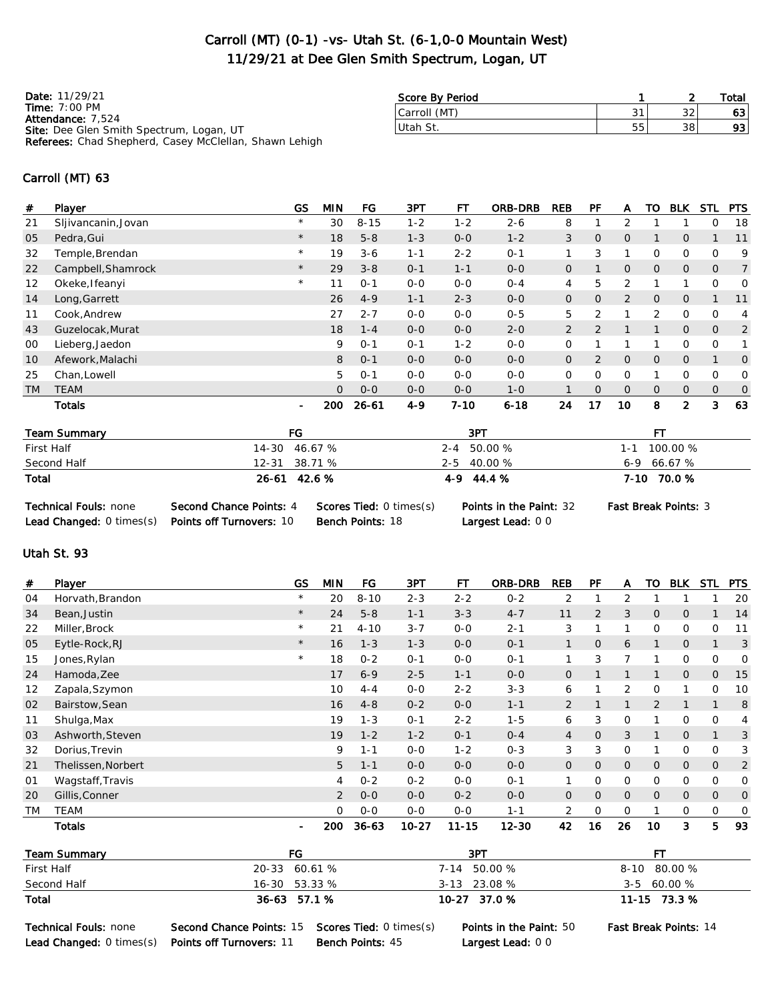### Carroll (MT) (0-1) -vs- Utah St. (6-1,0-0 Mountain West) 11/29/21 at Dee Glen Smith Spectrum, Logan, UT

Date: 11/29/21 Time: 7:00 PM Attendance: 7,524 Site: Dee Glen Smith Spectrum, Logan, UT Referees: Chad Shepherd, Casey McClellan, Shawn Lehigh

| Score By Period |    |    | Total |
|-----------------|----|----|-------|
| Carroll (MT)    |    | ົາ |       |
| lUtah St.       | 55 | 38 | 93    |
|                 |    |    |       |

#### Carroll (MT) 63

| #         | Player                                 | <b>GS</b>      | <b>MIN</b>     | FG        | 3PT     | FТ            | <b>ORB-DRB</b> | <b>REB</b>     | PF             | A              | то             | <b>BLK</b>     | STL.           | <b>PTS</b>     |
|-----------|----------------------------------------|----------------|----------------|-----------|---------|---------------|----------------|----------------|----------------|----------------|----------------|----------------|----------------|----------------|
| 21        | Sljivancanin, Jovan                    | $\star$        | 30             | $8 - 15$  | $1 - 2$ | $1 - 2$       | $2 - 6$        | 8              |                | 2              |                |                | 0              | 18             |
| 05        | Pedra, Gui                             | $\star$        | 18             | $5 - 8$   | $1 - 3$ | $0 - 0$       | $1 - 2$        | 3              | $\overline{O}$ | $\overline{O}$ |                | $\mathsf{O}$   |                | 11             |
| 32        | Temple, Brendan                        | $^{\star}$     | 19             | $3 - 6$   | $1 - 1$ | $2 - 2$       | $0 - 1$        | 1              | 3              |                | $\Omega$       | 0              | 0              | 9              |
| 22        | Campbell, Shamrock                     | $\star$        | 29             | $3 - 8$   | $0 - 1$ | $1 - 1$       | $0-0$          | $\mathsf{O}$   |                | 0              | $\overline{O}$ | $\mathsf{O}$   | $\overline{O}$ | 7              |
| 12        | Okeke, Ifeanyi                         | $\star$        | 11             | $0 - 1$   | $0-0$   | $0 - 0$       | $0 - 4$        | 4              | 5              | 2              |                | 1              | 0              | 0              |
| 14        | Long, Garrett                          |                | 26             | $4 - 9$   | $1 - 1$ | $2 - 3$       | $0 - 0$        | $\overline{0}$ | $\overline{O}$ | $\overline{2}$ | $\mathbf{0}$   | $\overline{O}$ | $\mathbf{1}$   | 11             |
| 11        | Cook, Andrew                           |                | 27             | $2 - 7$   | $0 - 0$ | $0 - 0$       | $0 - 5$        | 5              | 2              |                | 2              | 0              | 0              | 4              |
| 43        | Guzelocak, Murat                       |                | 18             | $1 - 4$   | $0-0$   | $0 - 0$       | $2 - 0$        | $\overline{2}$ | 2              |                |                | $\overline{O}$ | $\overline{O}$ | $\overline{2}$ |
| 00        | Lieberg, Jaedon                        |                | 9              | $0 - 1$   | $0 - 1$ | $1 - 2$       | $0 - 0$        | 0              |                |                |                | 0              | 0              | $\mathbf{1}$   |
| 10        | Afework, Malachi                       |                | 8              | $0 - 1$   | $0-0$   | $0 - 0$       | $0-0$          | $\mathbf{O}$   | $\overline{2}$ | 0              | $\overline{O}$ | $\mathsf{O}$   | $\mathbf{1}$   | $\overline{O}$ |
| 25        | Chan, Lowell                           |                | 5              | $0 - 1$   | $0-0$   | $0 - 0$       | $0-0$          | 0              | $\Omega$       | 0              |                | 0              | 0              | 0              |
| <b>TM</b> | <b>TEAM</b>                            |                | $\overline{O}$ | $0 - 0$   | $0 - 0$ | $0 - 0$       | $1 - 0$        |                | $\overline{0}$ | 0              | $\overline{0}$ | $\mathsf{O}$   | 0              | 0              |
|           | <b>Totals</b>                          | $\blacksquare$ | 200            | $26 - 61$ | $4 - 9$ | $7 - 10$      | $6 - 18$       | 24             | 17             | 10             | 8              | $\overline{2}$ | 3              | 63             |
|           | <b>Team Summary</b>                    | FG             |                |           |         | 3PT           |                |                |                |                | <b>FT</b>      |                |                |                |
|           | $-1$ $-1$ $-1$<br>$\sim$ $\sim$ $\sim$ |                | $\cdots$       |           |         | $\sim$ $\sim$ | $   -$         |                |                | . .            |                | $\cdots$       |                |                |

| First Half  | 14-30 46.67 % | 2-4 50.00 %   | 100.00 %<br>$1 - 1$ |
|-------------|---------------|---------------|---------------------|
| Second Half | 12-31 38.71 % | 2-5 40.00 %   | $6-9$ 66.67 %       |
| Total       | 26-61 42.6 %  | $4-9$ $44.4%$ | 7-10 70.0 %         |

| <b>Technical Fouls: none</b>         | Second Chance Points: 4         | <b>Scores Tied: 0 times(s)</b> |
|--------------------------------------|---------------------------------|--------------------------------|
| <b>Lead Changed:</b> $0 \times s(s)$ | <b>Points off Turnovers: 10</b> | <b>Bench Points: 18</b>        |

Largest Lead: 0 0

Points in the Paint: 32 Fast Break Points: 3

#### Utah St. 93

| #         | Player              | <b>GS</b>      | <b>MIN</b>     | FG        | 3PT     | FT        | <b>ORB-DRB</b> | <b>REB</b>     | PF             | A            | то           | <b>BLK</b>   | <b>STL</b>     | <b>PTS</b>     |
|-----------|---------------------|----------------|----------------|-----------|---------|-----------|----------------|----------------|----------------|--------------|--------------|--------------|----------------|----------------|
| 04        | Horvath, Brandon    | $\star$        | 20             | $8 - 10$  | $2 - 3$ | $2 - 2$   | $0 - 2$        | 2              |                | 2            |              |              |                | 20             |
| 34        | Bean, Justin        | $\star$        | 24             | $5 - 8$   | $1 - 1$ | $3 - 3$   | $4 - 7$        | 11             | 2              | 3            | $\mathbf{0}$ | $\mathbf{O}$ | $\mathbf{1}$   | 14             |
| 22        | Miller, Brock       | $\star$        | 21             | $4 - 10$  | $3 - 7$ | $0 - 0$   | $2 - 1$        | 3              |                |              | 0            | 0            | 0              | 11             |
| 05        | Eytle-Rock, RJ      | $\star$        | 16             | $1 - 3$   | $1 - 3$ | $0-0$     | $0 - 1$        |                | $\overline{O}$ | 6            |              | $\mathbf{O}$ |                | 3              |
| 15        | Jones, Rylan        | $\star$        | 18             | $0 - 2$   | $0 - 1$ | $0-0$     | $0 - 1$        |                | 3              | 7            |              | 0            | 0              | 0              |
| 24        | Hamoda, Zee         |                | 17             | $6 - 9$   | $2 - 5$ | $1 - 1$   | $O - O$        | $\mathbf{O}$   |                |              |              | $\mathbf{0}$ | $\overline{O}$ | 15             |
| 12        | Zapala, Szymon      |                | 10             | $4 - 4$   | $0-0$   | $2 - 2$   | $3 - 3$        | 6              |                | 2            | 0            |              | 0              | 10             |
| 02        | Bairstow, Sean      |                | 16             | $4 - 8$   | $0 - 2$ | $0 - 0$   | $1 - 1$        | $\overline{2}$ |                |              | 2            |              |                | 8              |
| 11        | Shulga, Max         |                | 19             | $1 - 3$   | $0 - 1$ | $2 - 2$   | $1 - 5$        | 6              | 3              | 0            |              | 0            | 0              | 4              |
| 03        | Ashworth, Steven    |                | 19             | $1 - 2$   | $1 - 2$ | $0 - 1$   | $0 - 4$        | $\overline{4}$ | $\overline{0}$ | 3            |              | $\mathbf{0}$ |                | 3              |
| 32        | Dorius, Trevin      |                | 9              | $1 - 1$   | $0-0$   | $1 - 2$   | $0 - 3$        | 3              | 3              | 0            |              | 0            | 0              | 3              |
| 21        | Thelissen, Norbert  |                | 5              | $1 - 1$   | $0-0$   | $0 - 0$   | $0-0$          | $\mathbf{O}$   | 0              | $\mathsf{O}$ | $\mathbf{0}$ | $\mathbf{O}$ | $\mathbf{0}$   | $\overline{c}$ |
| 01        | Wagstaff, Travis    |                | 4              | $0 - 2$   | $0 - 2$ | $0 - 0$   | $O - 1$        |                | 0              | 0            | 0            | 0            | 0              | 0              |
| 20        | Gillis, Conner      |                | $\overline{2}$ | $0-0$     | $0-0$   | $0 - 2$   | $0-0$          | $\mathbf{O}$   | 0              | $\mathsf{O}$ | $\mathbf{0}$ | $\mathbf{O}$ | $\overline{O}$ | 0              |
| <b>TM</b> | <b>TEAM</b>         |                | $\circ$        | $0 - 0$   | $0-0$   | $0 - 0$   | $1 - 1$        | 2              | $\Omega$       | 0            |              | $\mathbf{0}$ | 0              | 0              |
|           | Totals              | $\blacksquare$ | 200            | $36 - 63$ | 10-27   | $11 - 15$ | $12 - 30$      | 42             | 16             | 26           | 10           | 3            | 5              | 93             |
|           | <b>Team Summary</b> | FG             |                |           |         | 3PT       |                |                |                |              | <b>FT</b>    |              |                |                |

| Team Summary | FG              | 3PT            |               |
|--------------|-----------------|----------------|---------------|
| First Half   | 20-33 60.61 %   | 7-14 50.00 %   | 8-10 80.00 %  |
| Second Half  | $16-30$ 53.33 % | $3-13$ 23.08 % | $3-5$ 60.00 % |
| Total        | 36-63 57.1 %    | 10-27 37.0 %   | 11-15 73.3 %  |

Technical Fouls: none Second Chance Points: 15 Scores Tied: 0 times(s) Points in the Paint: 50 Fast Break Points: 14 Lead Changed: 0 times(s) Points off Turnovers: 11 Bench Points: 45 Largest Lead: 0 0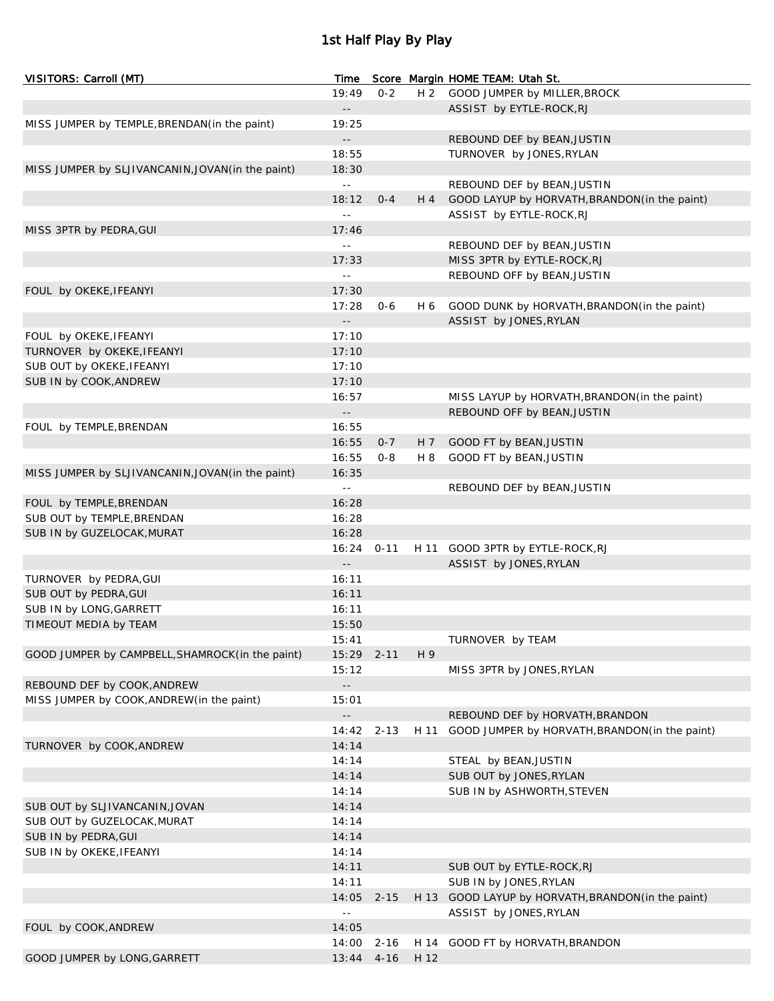## 1st Half Play By Play

| VISITORS: Carroll (MT)                            | Time                       |          |      | Score Margin HOME TEAM: Utah St.                   |
|---------------------------------------------------|----------------------------|----------|------|----------------------------------------------------|
|                                                   | 19:49                      | $0 - 2$  | H 2  | GOOD JUMPER by MILLER, BROCK                       |
|                                                   | $\sim$ $-$                 |          |      | ASSIST by EYTLE-ROCK, RJ                           |
| MISS JUMPER by TEMPLE, BRENDAN (in the paint)     | 19:25                      |          |      |                                                    |
|                                                   | $\sim$ $-$                 |          |      | REBOUND DEF by BEAN, JUSTIN                        |
|                                                   | 18:55                      |          |      | TURNOVER by JONES, RYLAN                           |
| MISS JUMPER by SLJIVANCANIN, JOVAN (in the paint) | 18:30                      |          |      |                                                    |
|                                                   | $\omega$ .                 |          |      | REBOUND DEF by BEAN, JUSTIN                        |
|                                                   | 18:12                      | $0 - 4$  | H 4  | GOOD LAYUP by HORVATH, BRANDON (in the paint)      |
|                                                   | $- -$                      |          |      | ASSIST by EYTLE-ROCK, RJ                           |
| MISS 3PTR by PEDRA, GUI                           | 17:46                      |          |      |                                                    |
|                                                   | $\equiv$                   |          |      | REBOUND DEF by BEAN, JUSTIN                        |
|                                                   | 17:33                      |          |      | MISS 3PTR by EYTLE-ROCK, RJ                        |
|                                                   | цц.                        |          |      | REBOUND OFF by BEAN, JUSTIN                        |
| FOUL by OKEKE, IFEANYI                            | 17:30                      |          |      |                                                    |
|                                                   | 17:28                      | $0 - 6$  | H 6  | GOOD DUNK by HORVATH, BRANDON (in the paint)       |
|                                                   | $\sim$ $-$                 |          |      | ASSIST by JONES, RYLAN                             |
| FOUL by OKEKE, IFEANYI                            | 17:10                      |          |      |                                                    |
| TURNOVER by OKEKE, IFEANYI                        | 17:10                      |          |      |                                                    |
| SUB OUT by OKEKE, IFEANYI                         | 17:10                      |          |      |                                                    |
| SUB IN by COOK, ANDREW                            | 17:10                      |          |      |                                                    |
|                                                   | 16:57                      |          |      | MISS LAYUP by HORVATH, BRANDON (in the paint)      |
|                                                   | $\sim$ $-$                 |          |      | REBOUND OFF by BEAN, JUSTIN                        |
| FOUL by TEMPLE, BRENDAN                           | 16:55                      |          |      |                                                    |
|                                                   | 16:55                      | $0 - 7$  | H 7  | GOOD FT by BEAN, JUSTIN                            |
|                                                   | 16:55                      | $0 - 8$  | H 8  | GOOD FT by BEAN, JUSTIN                            |
| MISS JUMPER by SLJIVANCANIN, JOVAN (in the paint) | 16:35                      |          |      |                                                    |
|                                                   | $\omega$ .                 |          |      | REBOUND DEF by BEAN, JUSTIN                        |
| FOUL by TEMPLE, BRENDAN                           | 16:28                      |          |      |                                                    |
| SUB OUT by TEMPLE, BRENDAN                        | 16:28                      |          |      |                                                    |
| SUB IN by GUZELOCAK, MURAT                        | 16:28                      |          |      |                                                    |
|                                                   | 16:24                      | $0 - 11$ |      | H 11 GOOD 3PTR by EYTLE-ROCK, RJ                   |
|                                                   | $\sim$ $-$                 |          |      | ASSIST by JONES, RYLAN                             |
| TURNOVER by PEDRA, GUI                            | 16:11                      |          |      |                                                    |
| SUB OUT by PEDRA, GUI                             | 16:11                      |          |      |                                                    |
|                                                   |                            |          |      |                                                    |
| SUB IN by LONG, GARRETT                           | 16:11                      |          |      |                                                    |
| TIMEOUT MEDIA by TEAM                             | 15:50                      |          |      |                                                    |
|                                                   | 15:41                      |          |      | TURNOVER by TEAM                                   |
| GOOD JUMPER by CAMPBELL, SHAMROCK (in the paint)  | 15:29                      | $2 - 11$ | H 9  |                                                    |
|                                                   | 15:12                      |          |      | MISS 3PTR by JONES, RYLAN                          |
| REBOUND DEF by COOK, ANDREW                       | $\overline{\phantom{a}}$ . |          |      |                                                    |
| MISS JUMPER by COOK, ANDREW (in the paint)        | 15:01                      |          |      |                                                    |
|                                                   | $- -$                      |          |      | REBOUND DEF by HORVATH, BRANDON                    |
|                                                   | 14:42                      | $2 - 13$ | H 11 | GOOD JUMPER by HORVATH, BRANDON (in the paint)     |
| TURNOVER by COOK, ANDREW                          | 14:14                      |          |      |                                                    |
|                                                   | 14:14                      |          |      | STEAL by BEAN, JUSTIN                              |
|                                                   | 14:14                      |          |      | SUB OUT by JONES, RYLAN                            |
|                                                   | 14:14                      |          |      | SUB IN by ASHWORTH, STEVEN                         |
| SUB OUT by SLJIVANCANIN, JOVAN                    | 14:14                      |          |      |                                                    |
| SUB OUT by GUZELOCAK, MURAT                       | 14:14                      |          |      |                                                    |
| SUB IN by PEDRA, GUI                              | 14:14                      |          |      |                                                    |
| SUB IN by OKEKE, IFEANYI                          | 14:14                      |          |      |                                                    |
|                                                   | 14:11                      |          |      | SUB OUT by EYTLE-ROCK, RJ                          |
|                                                   | 14:11                      |          |      | SUB IN by JONES, RYLAN                             |
|                                                   | 14:05                      | $2 - 15$ |      | H 13 GOOD LAYUP by HORVATH, BRANDON (in the paint) |
|                                                   | $\omega$ $\omega$          |          |      | ASSIST by JONES, RYLAN                             |
| FOUL by COOK, ANDREW                              | 14:05                      |          |      |                                                    |
|                                                   | 14:00                      | $2 - 16$ | H 14 | GOOD FT by HORVATH, BRANDON                        |
| GOOD JUMPER by LONG, GARRETT                      | 13:44                      | $4 - 16$ | H 12 |                                                    |
|                                                   |                            |          |      |                                                    |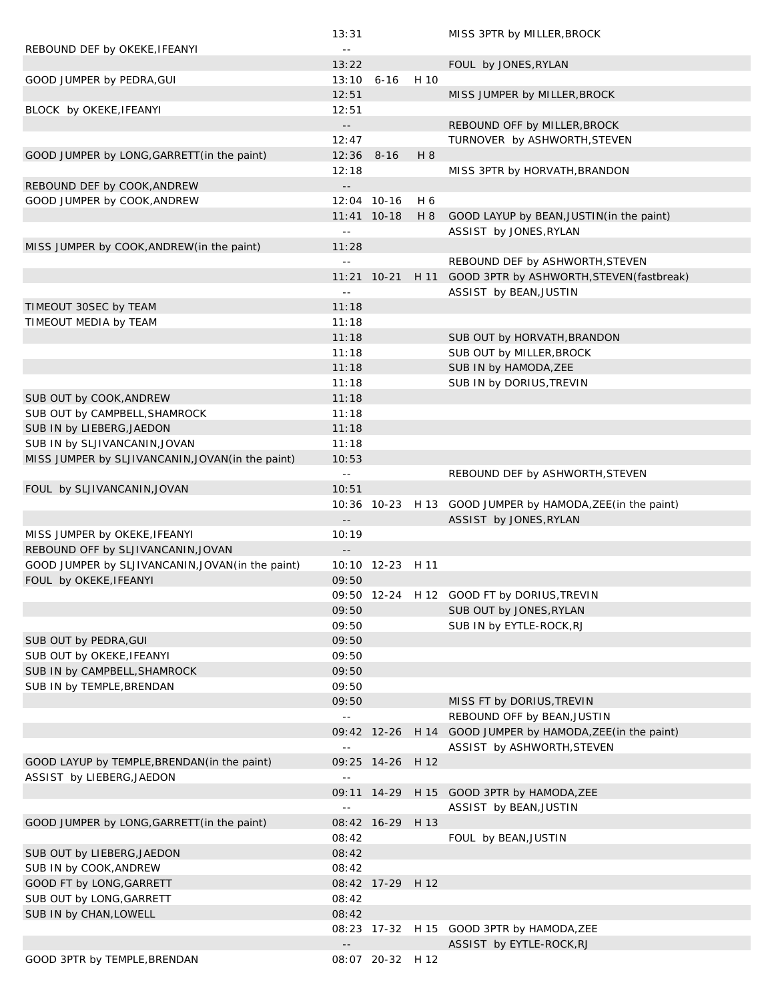|                                                                     | 13:31                      |                  |      | MISS 3PTR by MILLER, BROCK                                 |
|---------------------------------------------------------------------|----------------------------|------------------|------|------------------------------------------------------------|
| REBOUND DEF by OKEKE, IFEANYI                                       | $\equiv$ $\equiv$          |                  |      |                                                            |
|                                                                     | 13:22                      |                  |      | FOUL by JONES, RYLAN                                       |
| GOOD JUMPER by PEDRA, GUI                                           | $13:10$ 6-16               |                  | H 10 |                                                            |
|                                                                     | 12:51                      |                  |      | MISS JUMPER by MILLER, BROCK                               |
| BLOCK by OKEKE, IFEANYI                                             | 12:51                      |                  |      |                                                            |
|                                                                     | $\overline{\phantom{a}}$ . |                  |      | REBOUND OFF by MILLER, BROCK                               |
|                                                                     | 12:47                      |                  |      | TURNOVER by ASHWORTH, STEVEN                               |
| GOOD JUMPER by LONG, GARRETT (in the paint)                         | $12:36$ 8-16               |                  | H 8  |                                                            |
|                                                                     | 12:18                      |                  |      | MISS 3PTR by HORVATH, BRANDON                              |
| REBOUND DEF by COOK, ANDREW                                         |                            |                  |      |                                                            |
| GOOD JUMPER by COOK, ANDREW                                         |                            | 12:04 10-16      | H 6  |                                                            |
|                                                                     |                            | $11:41$ 10-18    | H 8  | GOOD LAYUP by BEAN, JUSTIN (in the paint)                  |
|                                                                     | $\sim$ $-$                 |                  |      | ASSIST by JONES, RYLAN                                     |
| MISS JUMPER by COOK, ANDREW (in the paint)                          | 11:28                      |                  |      |                                                            |
|                                                                     | $\sim$ $\sim$              |                  |      | REBOUND DEF by ASHWORTH, STEVEN                            |
|                                                                     |                            | 11:21 10-21      |      | H 11 GOOD 3PTR by ASHWORTH, STEVEN (fastbreak)             |
|                                                                     | $\sim$ $-$                 |                  |      | ASSIST by BEAN, JUSTIN                                     |
| TIMEOUT 30SEC by TEAM                                               | 11:18                      |                  |      |                                                            |
| TIMEOUT MEDIA by TEAM                                               | 11:18                      |                  |      |                                                            |
|                                                                     | 11:18                      |                  |      | SUB OUT by HORVATH, BRANDON                                |
|                                                                     | 11:18                      |                  |      | SUB OUT by MILLER, BROCK                                   |
|                                                                     | 11:18                      |                  |      | SUB IN by HAMODA, ZEE                                      |
|                                                                     | 11:18                      |                  |      | SUB IN by DORIUS, TREVIN                                   |
| SUB OUT by COOK, ANDREW                                             | 11:18                      |                  |      |                                                            |
| SUB OUT by CAMPBELL, SHAMROCK                                       | 11:18                      |                  |      |                                                            |
| SUB IN by LIEBERG, JAEDON                                           | 11:18                      |                  |      |                                                            |
| SUB IN by SLJIVANCANIN, JOVAN                                       | 11:18                      |                  |      |                                                            |
| MISS JUMPER by SLJIVANCANIN, JOVAN (in the paint)                   | 10:53                      |                  |      |                                                            |
|                                                                     | $\sim$ $-$                 |                  |      | REBOUND DEF by ASHWORTH, STEVEN                            |
| FOUL by SLJIVANCANIN, JOVAN                                         | 10:51                      |                  |      |                                                            |
|                                                                     |                            |                  |      | 10:36 10-23 H 13 GOOD JUMPER by HAMODA, ZEE (in the paint) |
|                                                                     | $ -$                       |                  |      | ASSIST by JONES, RYLAN                                     |
| MISS JUMPER by OKEKE, IFEANYI<br>REBOUND OFF by SLJIVANCANIN, JOVAN | 10:19                      |                  |      |                                                            |
| GOOD JUMPER by SLJIVANCANIN, JOVAN (in the paint)                   |                            | 10:10 12-23 H 11 |      |                                                            |
| FOUL by OKEKE, IFEANYI                                              | 09:50                      |                  |      |                                                            |
|                                                                     |                            |                  |      | 09:50 12-24 H 12 GOOD FT by DORIUS, TREVIN                 |
|                                                                     | 09:50                      |                  |      | SUB OUT by JONES, RYLAN                                    |
|                                                                     | 09:50                      |                  |      | SUB IN by EYTLE-ROCK, RJ                                   |
| SUB OUT by PEDRA, GUI                                               | 09:50                      |                  |      |                                                            |
| SUB OUT by OKEKE, IFEANYI                                           | 09:50                      |                  |      |                                                            |
| SUB IN by CAMPBELL, SHAMROCK                                        | 09:50                      |                  |      |                                                            |
| SUB IN by TEMPLE, BRENDAN                                           | 09:50                      |                  |      |                                                            |
|                                                                     | 09:50                      |                  |      | MISS FT by DORIUS, TREVIN                                  |
|                                                                     | $\sim$ $\sim$              |                  |      | REBOUND OFF by BEAN, JUSTIN                                |
|                                                                     |                            |                  |      | 09:42 12-26 H 14 GOOD JUMPER by HAMODA, ZEE (in the paint) |
|                                                                     | $\sim$ $\sim$              |                  |      | ASSIST by ASHWORTH, STEVEN                                 |
| GOOD LAYUP by TEMPLE, BRENDAN (in the paint)                        |                            | 09:25 14-26 H 12 |      |                                                            |
| ASSIST by LIEBERG, JAEDON                                           | $\sim$ $\sim$              |                  |      |                                                            |
|                                                                     |                            |                  |      | 09:11 14-29 H 15 GOOD 3PTR by HAMODA, ZEE                  |
|                                                                     | $\sim$ $\sim$              |                  |      | ASSIST by BEAN, JUSTIN                                     |
| GOOD JUMPER by LONG, GARRETT (in the paint)                         |                            | 08:42 16-29 H 13 |      |                                                            |
|                                                                     | 08:42                      |                  |      | FOUL by BEAN, JUSTIN                                       |
| SUB OUT by LIEBERG, JAEDON                                          | 08:42                      |                  |      |                                                            |
| SUB IN by COOK, ANDREW                                              | 08:42                      |                  |      |                                                            |
| GOOD FT by LONG, GARRETT                                            |                            | 08:42 17-29 H 12 |      |                                                            |
| SUB OUT by LONG, GARRETT                                            | 08:42                      |                  |      |                                                            |
| SUB IN by CHAN, LOWELL                                              | 08:42                      |                  |      |                                                            |
|                                                                     |                            |                  |      | 08:23 17-32 H 15 GOOD 3PTR by HAMODA, ZEE                  |
|                                                                     |                            |                  |      | ASSIST by EYTLE-ROCK, RJ                                   |
| GOOD 3PTR by TEMPLE, BRENDAN                                        |                            | 08:07 20-32 H 12 |      |                                                            |
|                                                                     |                            |                  |      |                                                            |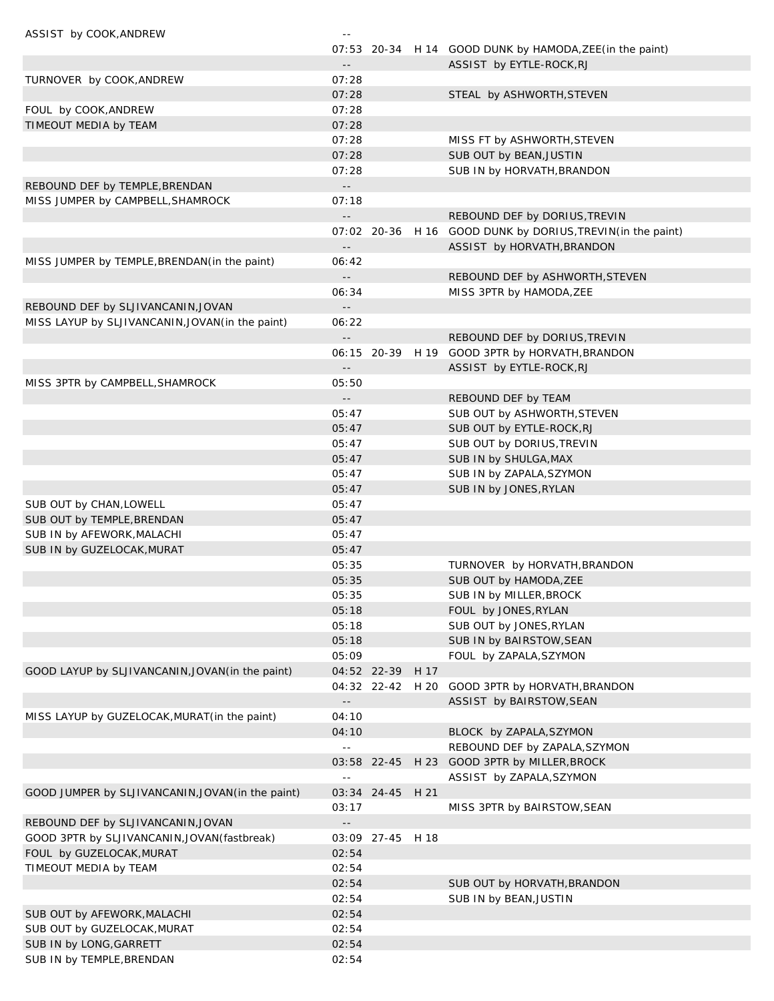| ASSIST by COOK, ANDREW                            | $\sim$ $-$                 |                  |                                                            |
|---------------------------------------------------|----------------------------|------------------|------------------------------------------------------------|
|                                                   |                            |                  | 07:53 20-34 H 14 GOOD DUNK by HAMODA, ZEE (in the paint)   |
|                                                   | $ -$                       |                  | ASSIST by EYTLE-ROCK, RJ                                   |
| TURNOVER by COOK, ANDREW                          | 07:28                      |                  |                                                            |
|                                                   | 07:28                      |                  | STEAL by ASHWORTH, STEVEN                                  |
| FOUL by COOK, ANDREW                              | 07:28                      |                  |                                                            |
| TIMEOUT MEDIA by TEAM                             | 07:28                      |                  |                                                            |
|                                                   | 07:28                      |                  | MISS FT by ASHWORTH, STEVEN                                |
|                                                   | 07:28                      |                  | SUB OUT by BEAN, JUSTIN                                    |
|                                                   | 07:28                      |                  | SUB IN by HORVATH, BRANDON                                 |
| REBOUND DEF by TEMPLE, BRENDAN                    | $\sim$ $\sim$              |                  |                                                            |
| MISS JUMPER by CAMPBELL, SHAMROCK                 | 07:18                      |                  |                                                            |
|                                                   | $\overline{\phantom{a}}$ . |                  | REBOUND DEF by DORIUS, TREVIN                              |
|                                                   |                            |                  | 07:02 20-36 H 16 GOOD DUNK by DORIUS, TREVIN(in the paint) |
|                                                   | $\overline{\phantom{a}}$ . |                  | ASSIST by HORVATH, BRANDON                                 |
| MISS JUMPER by TEMPLE, BRENDAN (in the paint)     | 06:42                      |                  |                                                            |
|                                                   | $\sim$ $\sim$              |                  | REBOUND DEF by ASHWORTH, STEVEN                            |
|                                                   | 06:34                      |                  | MISS 3PTR by HAMODA, ZEE                                   |
| REBOUND DEF by SLJIVANCANIN, JOVAN                | $\overline{\phantom{a}}$ . |                  |                                                            |
| MISS LAYUP by SLJIVANCANIN, JOVAN (in the paint)  | 06:22                      |                  |                                                            |
|                                                   | $\sim$ $\sim$              |                  | REBOUND DEF by DORIUS, TREVIN                              |
|                                                   |                            |                  | 06:15 20-39 H 19 GOOD 3PTR by HORVATH, BRANDON             |
|                                                   | $\overline{\phantom{a}}$ . |                  | ASSIST by EYTLE-ROCK, RJ                                   |
| MISS 3PTR by CAMPBELL, SHAMROCK                   | 05:50                      |                  |                                                            |
|                                                   | $\sim$ $-$                 |                  | REBOUND DEF by TEAM                                        |
|                                                   | 05:47                      |                  | SUB OUT by ASHWORTH, STEVEN                                |
|                                                   | 05:47                      |                  | SUB OUT by EYTLE-ROCK, RJ                                  |
|                                                   | 05:47                      |                  | SUB OUT by DORIUS, TREVIN                                  |
|                                                   | 05:47                      |                  | SUB IN by SHULGA, MAX                                      |
|                                                   | 05:47                      |                  | SUB IN by ZAPALA, SZYMON                                   |
|                                                   | 05:47                      |                  | SUB IN by JONES, RYLAN                                     |
| SUB OUT by CHAN, LOWELL                           | 05:47                      |                  |                                                            |
| SUB OUT by TEMPLE, BRENDAN                        | 05:47                      |                  |                                                            |
| SUB IN by AFEWORK, MALACHI                        | 05:47                      |                  |                                                            |
| SUB IN by GUZELOCAK, MURAT                        | 05:47                      |                  |                                                            |
|                                                   | 05:35                      |                  | TURNOVER by HORVATH, BRANDON                               |
|                                                   | 05:35                      |                  | SUB OUT by HAMODA, ZEE                                     |
|                                                   | 05:35                      |                  | SUB IN by MILLER, BROCK                                    |
|                                                   | 05:18                      |                  | FOUL by JONES, RYLAN                                       |
|                                                   | 05:18                      |                  | SUB OUT by JONES, RYLAN                                    |
|                                                   | 05:18                      |                  | SUB IN by BAIRSTOW, SEAN                                   |
|                                                   | 05:09                      |                  | FOUL by ZAPALA, SZYMON                                     |
| GOOD LAYUP by SLJIVANCANIN, JOVAN (in the paint)  |                            | 04:52 22-39 H 17 |                                                            |
|                                                   |                            | 04:32 22-42 H 20 | GOOD 3PTR by HORVATH, BRANDON                              |
|                                                   | $ -$                       |                  | ASSIST by BAIRSTOW, SEAN                                   |
| MISS LAYUP by GUZELOCAK, MURAT (in the paint)     | 04:10                      |                  |                                                            |
|                                                   | 04:10                      |                  | BLOCK by ZAPALA, SZYMON                                    |
|                                                   | $\Box$                     |                  | REBOUND DEF by ZAPALA, SZYMON                              |
|                                                   |                            | 03:58 22-45      | H 23 GOOD 3PTR by MILLER, BROCK                            |
|                                                   | $-$                        |                  | ASSIST by ZAPALA, SZYMON                                   |
| GOOD JUMPER by SLJIVANCANIN, JOVAN (in the paint) |                            | 03:34 24-45 H 21 |                                                            |
|                                                   | 03:17                      |                  | MISS 3PTR by BAIRSTOW, SEAN                                |
| REBOUND DEF by SLJIVANCANIN, JOVAN                | $\overline{\phantom{a}}$ . |                  |                                                            |
| GOOD 3PTR by SLJIVANCANIN, JOVAN (fastbreak)      |                            | 03:09 27-45 H 18 |                                                            |
| FOUL by GUZELOCAK, MURAT                          | 02:54                      |                  |                                                            |
| TIMEOUT MEDIA by TEAM                             | 02:54                      |                  |                                                            |
|                                                   | 02:54                      |                  | SUB OUT by HORVATH, BRANDON                                |
|                                                   | 02:54                      |                  | SUB IN by BEAN, JUSTIN                                     |
| SUB OUT by AFEWORK, MALACHI                       | 02:54                      |                  |                                                            |
| SUB OUT by GUZELOCAK, MURAT                       | 02:54                      |                  |                                                            |
| SUB IN by LONG, GARRETT                           | 02:54                      |                  |                                                            |
| SUB IN by TEMPLE, BRENDAN                         | 02:54                      |                  |                                                            |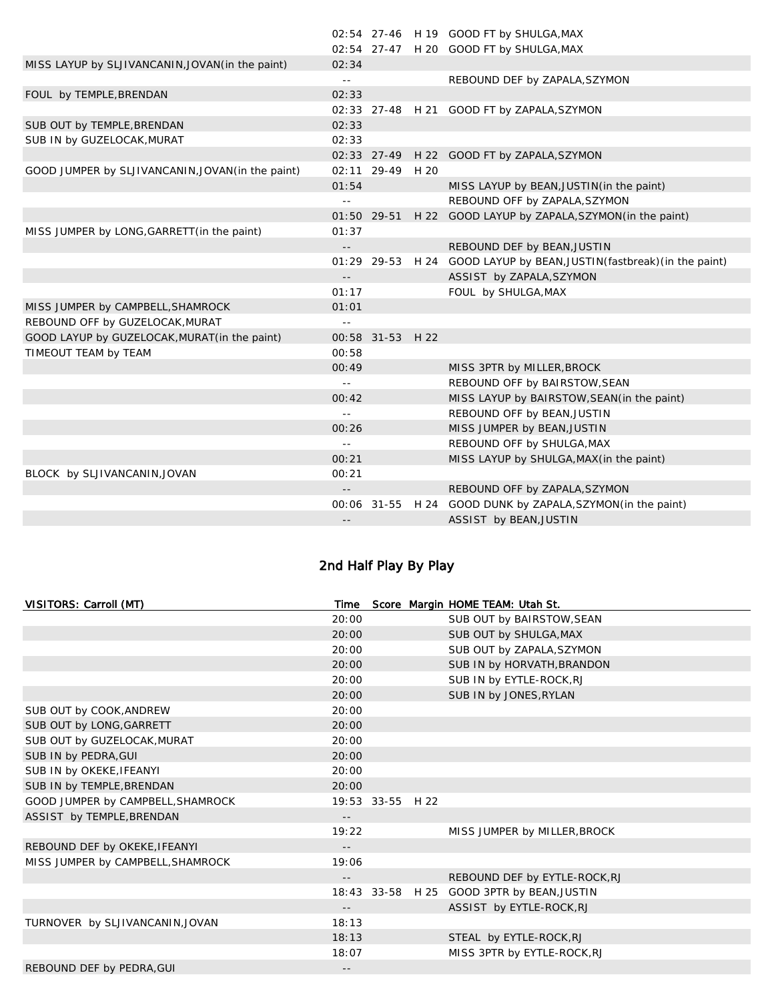|                                                   |                 |                  | 02:54 27-46 H 19 GOOD FT by SHULGA, MAX                                |
|---------------------------------------------------|-----------------|------------------|------------------------------------------------------------------------|
|                                                   |                 |                  | 02:54 27-47 H 20 GOOD FT by SHULGA, MAX                                |
| MISS LAYUP by SLJIVANCANIN, JOVAN (in the paint)  | 02:34           |                  |                                                                        |
|                                                   | $\sim$ $-$      |                  | REBOUND DEF by ZAPALA, SZYMON                                          |
| FOUL by TEMPLE, BRENDAN                           | 02:33           |                  |                                                                        |
|                                                   |                 |                  | 02:33 27-48 H 21 GOOD FT by ZAPALA, SZYMON                             |
| SUB OUT by TEMPLE, BRENDAN                        | 02:33           |                  |                                                                        |
| SUB IN by GUZELOCAK, MURAT                        | 02:33           |                  |                                                                        |
|                                                   |                 |                  | 02:33 27-49 H 22 GOOD FT by ZAPALA, SZYMON                             |
| GOOD JUMPER by SLJIVANCANIN, JOVAN (in the paint) |                 | 02:11 29-49 H 20 |                                                                        |
|                                                   | 01:54           |                  | MISS LAYUP by BEAN, JUSTIN (in the paint)                              |
|                                                   | $\sim$ $\sim$   |                  | REBOUND OFF by ZAPALA, SZYMON                                          |
|                                                   |                 |                  | 01:50 29-51 H 22 GOOD LAYUP by ZAPALA, SZYMON (in the paint)           |
| MISS JUMPER by LONG, GARRETT (in the paint)       | 01:37           |                  |                                                                        |
|                                                   | $ -$            |                  | REBOUND DEF by BEAN, JUSTIN                                            |
|                                                   |                 |                  | 01:29 29-53 H 24 GOOD LAYUP by BEAN, JUSTIN (fastbreak) (in the paint) |
|                                                   | $\sim$ $-$      |                  | ASSIST by ZAPALA, SZYMON                                               |
|                                                   | 01:17           |                  | FOUL by SHULGA, MAX                                                    |
| MISS JUMPER by CAMPBELL, SHAMROCK                 | 01:01           |                  |                                                                        |
| REBOUND OFF by GUZELOCAK, MURAT                   | $\sim$ $-$      |                  |                                                                        |
| GOOD LAYUP by GUZELOCAK, MURAT(in the paint)      |                 | 00:58 31-53 H 22 |                                                                        |
| TIMEOUT TEAM by TEAM                              | 00:58           |                  |                                                                        |
|                                                   | 00:49           |                  | MISS 3PTR by MILLER, BROCK                                             |
|                                                   | $\sim$ $-$      |                  | REBOUND OFF by BAIRSTOW, SEAN                                          |
|                                                   | 00:42           |                  | MISS LAYUP by BAIRSTOW, SEAN(in the paint)                             |
|                                                   | $\perp$ $\perp$ |                  | REBOUND OFF by BEAN, JUSTIN                                            |
|                                                   | 00:26           |                  | MISS JUMPER by BEAN, JUSTIN                                            |
|                                                   | $\sim$ $-$      |                  | REBOUND OFF by SHULGA, MAX                                             |
|                                                   | 00:21           |                  | MISS LAYUP by SHULGA, MAX (in the paint)                               |
| BLOCK by SLJIVANCANIN, JOVAN                      | 00:21           |                  |                                                                        |
|                                                   |                 |                  | REBOUND OFF by ZAPALA, SZYMON                                          |
|                                                   |                 |                  | 00:06 31-55 H 24 GOOD DUNK by ZAPALA, SZYMON(in the paint)             |
|                                                   |                 |                  | ASSIST by BEAN, JUSTIN                                                 |
|                                                   |                 |                  |                                                                        |

# 2nd Half Play By Play

| VISITORS: Carroll (MT)            | Time                       |                  | Score Margin HOME TEAM: Utah St. |
|-----------------------------------|----------------------------|------------------|----------------------------------|
|                                   | 20:00                      |                  | SUB OUT by BAIRSTOW, SEAN        |
|                                   | 20:00                      |                  | SUB OUT by SHULGA, MAX           |
|                                   | 20:00                      |                  | SUB OUT by ZAPALA, SZYMON        |
|                                   | 20:00                      |                  | SUB IN by HORVATH, BRANDON       |
|                                   | 20:00                      |                  | SUB IN by EYTLE-ROCK, RJ         |
|                                   | 20:00                      |                  | SUB IN by JONES, RYLAN           |
| SUB OUT by COOK, ANDREW           | 20:00                      |                  |                                  |
| SUB OUT by LONG, GARRETT          | 20:00                      |                  |                                  |
| SUB OUT by GUZELOCAK, MURAT       | 20:00                      |                  |                                  |
| SUB IN by PEDRA, GUI              | 20:00                      |                  |                                  |
| SUB IN by OKEKE, IFEANYI          | 20:00                      |                  |                                  |
| SUB IN by TEMPLE, BRENDAN         | 20:00                      |                  |                                  |
| GOOD JUMPER by CAMPBELL, SHAMROCK |                            | 19:53 33-55 H 22 |                                  |
| ASSIST by TEMPLE, BRENDAN         | $ -$                       |                  |                                  |
|                                   | 19:22                      |                  | MISS JUMPER by MILLER, BROCK     |
| REBOUND DEF by OKEKE, IFEANYI     | $\overline{\phantom{a}}$ . |                  |                                  |
| MISS JUMPER by CAMPBELL, SHAMROCK | 19:06                      |                  |                                  |
|                                   | $\overline{\phantom{a}}$ . |                  | REBOUND DEF by EYTLE-ROCK, RJ    |
|                                   |                            | 18:43 33-58 H 25 | GOOD 3PTR by BEAN, JUSTIN        |
|                                   | $\overline{\phantom{a}}$ . |                  | ASSIST by EYTLE-ROCK, RJ         |
| TURNOVER by SLJIVANCANIN, JOVAN   | 18:13                      |                  |                                  |
|                                   | 18:13                      |                  | STEAL by EYTLE-ROCK, RJ          |
|                                   | 18:07                      |                  | MISS 3PTR by EYTLE-ROCK, RJ      |
| REBOUND DEF by PEDRA, GUI         | $\qquad \qquad -$          |                  |                                  |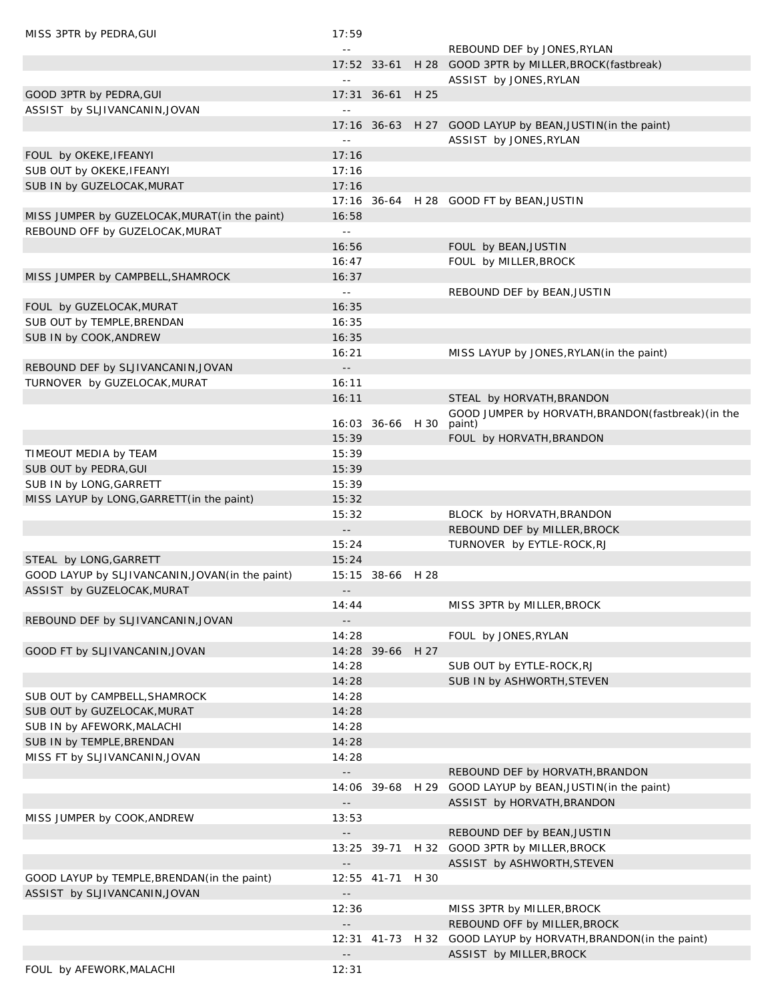| MISS 3PTR by PEDRA, GUI                                                    | 17:59                      |                  |      |                                                                                               |
|----------------------------------------------------------------------------|----------------------------|------------------|------|-----------------------------------------------------------------------------------------------|
|                                                                            | $\sim$ $\sim$              |                  |      | REBOUND DEF by JONES, RYLAN                                                                   |
|                                                                            |                            |                  |      | 17:52 33-61 H 28 GOOD 3PTR by MILLER, BROCK (fastbreak)                                       |
|                                                                            | $=$ $-$                    |                  |      | ASSIST by JONES, RYLAN                                                                        |
| GOOD 3PTR by PEDRA, GUI                                                    |                            | 17:31 36-61 H 25 |      |                                                                                               |
| ASSIST by SLJIVANCANIN, JOVAN                                              | $\omega$ $\omega$          |                  |      |                                                                                               |
|                                                                            |                            |                  |      | 17:16 36-63 H 27 GOOD LAYUP by BEAN, JUSTIN(in the paint)                                     |
|                                                                            | $\ddotsc$                  |                  |      | ASSIST by JONES, RYLAN                                                                        |
| FOUL by OKEKE, IFEANYI                                                     | 17:16                      |                  |      |                                                                                               |
| SUB OUT by OKEKE, IFEANYI                                                  | 17:16                      |                  |      |                                                                                               |
| SUB IN by GUZELOCAK, MURAT                                                 | 17:16                      |                  |      |                                                                                               |
|                                                                            |                            |                  |      | 17:16 36-64 H 28 GOOD FT by BEAN, JUSTIN                                                      |
| MISS JUMPER by GUZELOCAK, MURAT (in the paint)                             | 16:58                      |                  |      |                                                                                               |
| REBOUND OFF by GUZELOCAK, MURAT                                            | $\omega$ .                 |                  |      |                                                                                               |
|                                                                            | 16:56                      |                  |      | FOUL by BEAN, JUSTIN                                                                          |
|                                                                            | 16:47                      |                  |      | FOUL by MILLER, BROCK                                                                         |
| MISS JUMPER by CAMPBELL, SHAMROCK                                          | 16:37                      |                  |      |                                                                                               |
|                                                                            | $\omega$ $\omega$          |                  |      | REBOUND DEF by BEAN, JUSTIN                                                                   |
| FOUL by GUZELOCAK, MURAT                                                   | 16:35                      |                  |      |                                                                                               |
| SUB OUT by TEMPLE, BRENDAN                                                 | 16:35                      |                  |      |                                                                                               |
| SUB IN by COOK, ANDREW                                                     | 16:35                      |                  |      |                                                                                               |
|                                                                            | 16:21                      |                  |      | MISS LAYUP by JONES, RYLAN (in the paint)                                                     |
| REBOUND DEF by SLJIVANCANIN, JOVAN                                         | $\overline{\phantom{a}}$ . |                  |      |                                                                                               |
| TURNOVER by GUZELOCAK, MURAT                                               | 16:11                      |                  |      |                                                                                               |
|                                                                            | 16:11                      |                  |      | STEAL by HORVATH, BRANDON                                                                     |
|                                                                            |                            |                  |      | GOOD JUMPER by HORVATH, BRANDON (fastbreak) (in the                                           |
|                                                                            |                            | 16:03 36-66 H 30 |      | paint)                                                                                        |
|                                                                            | 15:39                      |                  |      | FOUL by HORVATH, BRANDON                                                                      |
| TIMEOUT MEDIA by TEAM                                                      | 15:39                      |                  |      |                                                                                               |
| SUB OUT by PEDRA, GUI                                                      | 15:39                      |                  |      |                                                                                               |
| SUB IN by LONG, GARRETT                                                    | 15:39                      |                  |      |                                                                                               |
| MISS LAYUP by LONG, GARRETT (in the paint)                                 | 15:32                      |                  |      |                                                                                               |
|                                                                            | 15:32<br>$\sim$ $\sim$     |                  |      | BLOCK by HORVATH, BRANDON                                                                     |
|                                                                            | 15:24                      |                  |      | REBOUND DEF by MILLER, BROCK<br>TURNOVER by EYTLE-ROCK, RJ                                    |
|                                                                            | 15:24                      |                  |      |                                                                                               |
| STEAL by LONG, GARRETT<br>GOOD LAYUP by SLJIVANCANIN, JOVAN (in the paint) |                            | 15:15 38-66 H 28 |      |                                                                                               |
| ASSIST by GUZELOCAK, MURAT                                                 |                            |                  |      |                                                                                               |
|                                                                            | $- -$<br>14:44             |                  |      | MISS 3PTR by MILLER, BROCK                                                                    |
| REBOUND DEF by SLJIVANCANIN, JOVAN                                         |                            |                  |      |                                                                                               |
|                                                                            | 14:28                      |                  |      | FOUL by JONES, RYLAN                                                                          |
| GOOD FT by SLJIVANCANIN, JOVAN                                             |                            | 14:28 39-66      | H 27 |                                                                                               |
|                                                                            | 14:28                      |                  |      | SUB OUT by EYTLE-ROCK, RJ                                                                     |
|                                                                            | 14:28                      |                  |      | SUB IN by ASHWORTH, STEVEN                                                                    |
| SUB OUT by CAMPBELL, SHAMROCK                                              | 14:28                      |                  |      |                                                                                               |
| SUB OUT by GUZELOCAK, MURAT                                                | 14:28                      |                  |      |                                                                                               |
| SUB IN by AFEWORK, MALACHI                                                 | 14:28                      |                  |      |                                                                                               |
| SUB IN by TEMPLE, BRENDAN                                                  | 14:28                      |                  |      |                                                                                               |
| MISS FT by SLJIVANCANIN, JOVAN                                             | 14:28                      |                  |      |                                                                                               |
|                                                                            | $- -$                      |                  |      |                                                                                               |
|                                                                            |                            |                  |      | REBOUND DEF by HORVATH, BRANDON<br>14:06 39-68 H 29 GOOD LAYUP by BEAN, JUSTIN (in the paint) |
|                                                                            | $\overline{\phantom{a}}$ . |                  |      | ASSIST by HORVATH, BRANDON                                                                    |
| MISS JUMPER by COOK, ANDREW                                                | 13:53                      |                  |      |                                                                                               |
|                                                                            | $\overline{\phantom{a}}$ . |                  |      | REBOUND DEF by BEAN, JUSTIN                                                                   |
|                                                                            |                            | 13:25 39-71      |      | H 32 GOOD 3PTR by MILLER, BROCK                                                               |
|                                                                            | $\overline{\phantom{a}}$ . |                  |      | ASSIST by ASHWORTH, STEVEN                                                                    |
| GOOD LAYUP by TEMPLE, BRENDAN (in the paint)                               |                            | 12:55 41-71      | H 30 |                                                                                               |
| ASSIST by SLJIVANCANIN, JOVAN                                              | $- -$                      |                  |      |                                                                                               |
|                                                                            | 12:36                      |                  |      | MISS 3PTR by MILLER, BROCK                                                                    |
|                                                                            | $- -$                      |                  |      | REBOUND OFF by MILLER, BROCK                                                                  |
|                                                                            |                            |                  |      | 12:31 41-73 H 32 GOOD LAYUP by HORVATH, BRANDON (in the paint)                                |
|                                                                            | $\sim$ $\sim$              |                  |      | ASSIST by MILLER, BROCK                                                                       |
| FOUL by AFEWORK, MALACHI                                                   | 12:31                      |                  |      |                                                                                               |
|                                                                            |                            |                  |      |                                                                                               |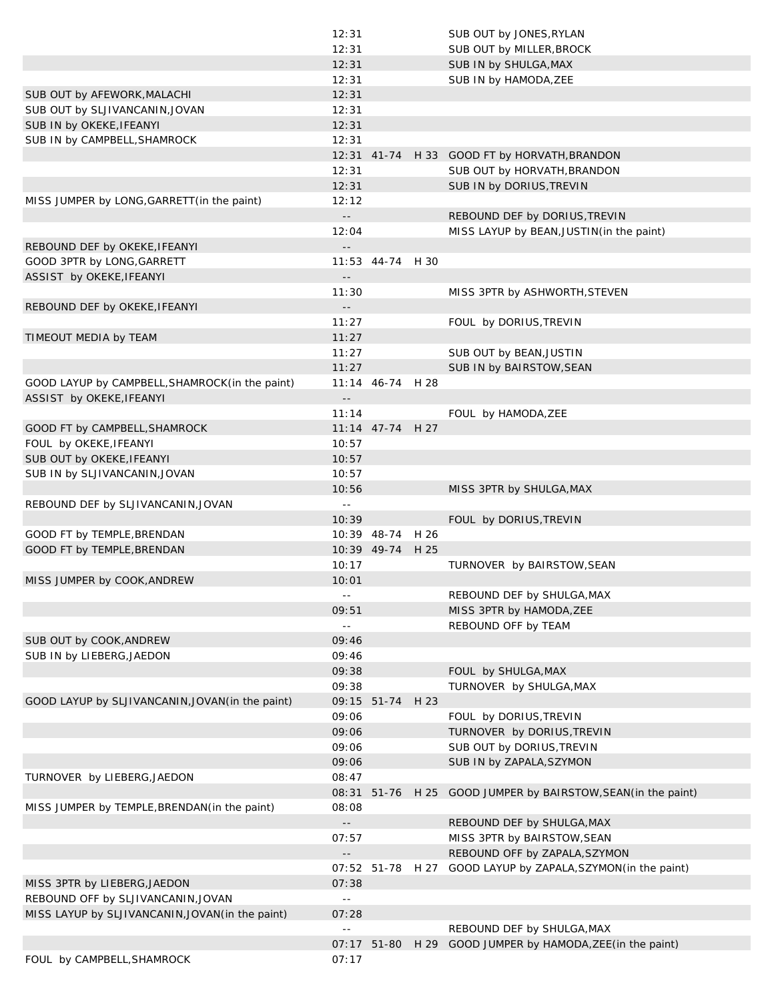|                                                  | 12:31                      |                  | SUB OUT by JONES, RYLAN                                       |
|--------------------------------------------------|----------------------------|------------------|---------------------------------------------------------------|
|                                                  | 12:31                      |                  | SUB OUT by MILLER, BROCK                                      |
|                                                  | 12:31                      |                  | SUB IN by SHULGA, MAX                                         |
|                                                  | 12:31                      |                  | SUB IN by HAMODA, ZEE                                         |
| SUB OUT by AFEWORK, MALACHI                      | 12:31                      |                  |                                                               |
| SUB OUT by SLJIVANCANIN, JOVAN                   | 12:31                      |                  |                                                               |
| SUB IN by OKEKE, IFEANYI                         | 12:31                      |                  |                                                               |
| SUB IN by CAMPBELL, SHAMROCK                     | 12:31                      |                  |                                                               |
|                                                  |                            |                  | 12:31 41-74 H 33 GOOD FT by HORVATH, BRANDON                  |
|                                                  | 12:31                      |                  | SUB OUT by HORVATH, BRANDON                                   |
|                                                  | 12:31                      |                  | SUB IN by DORIUS, TREVIN                                      |
| MISS JUMPER by LONG, GARRETT (in the paint)      | 12:12                      |                  |                                                               |
|                                                  | $\overline{\phantom{a}}$ . |                  | REBOUND DEF by DORIUS, TREVIN                                 |
|                                                  | 12:04                      |                  | MISS LAYUP by BEAN, JUSTIN (in the paint)                     |
| REBOUND DEF by OKEKE, IFEANYI                    | $-$                        |                  |                                                               |
| GOOD 3PTR by LONG, GARRETT                       |                            | 11:53 44-74 H 30 |                                                               |
| ASSIST by OKEKE, IFEANYI                         | $\overline{\phantom{a}}$ . |                  |                                                               |
|                                                  | 11:30                      |                  | MISS 3PTR by ASHWORTH, STEVEN                                 |
| REBOUND DEF by OKEKE, IFEANYI                    | $\overline{\phantom{a}}$ . |                  |                                                               |
|                                                  | 11:27                      |                  | FOUL by DORIUS, TREVIN                                        |
| TIMEOUT MEDIA by TEAM                            | 11:27                      |                  |                                                               |
|                                                  | 11:27                      |                  | SUB OUT by BEAN, JUSTIN                                       |
|                                                  | 11:27                      |                  | SUB IN by BAIRSTOW, SEAN                                      |
| GOOD LAYUP by CAMPBELL, SHAMROCK (in the paint)  |                            | 11:14 46-74 H 28 |                                                               |
| ASSIST by OKEKE, IFEANYI                         | $\overline{\phantom{a}}$ . |                  |                                                               |
|                                                  | 11:14                      |                  | FOUL by HAMODA, ZEE                                           |
|                                                  |                            | 11:14 47-74 H 27 |                                                               |
| GOOD FT by CAMPBELL, SHAMROCK                    |                            |                  |                                                               |
| FOUL by OKEKE, IFEANYI                           | 10:57                      |                  |                                                               |
| SUB OUT by OKEKE, IFEANYI                        | 10:57                      |                  |                                                               |
| SUB IN by SLJIVANCANIN, JOVAN                    | 10:57                      |                  |                                                               |
|                                                  | 10:56                      |                  | MISS 3PTR by SHULGA, MAX                                      |
| REBOUND DEF by SLJIVANCANIN, JOVAN               | $\sim$ $\sim$              |                  |                                                               |
|                                                  | 10:39                      |                  | FOUL by DORIUS, TREVIN                                        |
| GOOD FT by TEMPLE, BRENDAN                       |                            | 10:39 48-74 H 26 |                                                               |
| GOOD FT by TEMPLE, BRENDAN                       |                            | 10:39 49-74 H 25 |                                                               |
|                                                  | 10:17                      |                  | TURNOVER by BAIRSTOW, SEAN                                    |
| MISS JUMPER by COOK, ANDREW                      | 10:01                      |                  |                                                               |
|                                                  |                            |                  | REBOUND DEF by SHULGA, MAX                                    |
|                                                  | 09:51                      |                  | MISS 3PTR by HAMODA, ZEE                                      |
|                                                  | $\sim$ $-$                 |                  | REBOUND OFF by TEAM                                           |
| SUB OUT by COOK, ANDREW                          | 09:46                      |                  |                                                               |
| SUB IN by LIEBERG, JAEDON                        | 09:46                      |                  |                                                               |
|                                                  | 09:38                      |                  | FOUL by SHULGA, MAX                                           |
|                                                  | 09:38                      |                  | TURNOVER by SHULGA, MAX                                       |
| GOOD LAYUP by SLJIVANCANIN, JOVAN (in the paint) |                            | 09:15 51-74 H 23 |                                                               |
|                                                  | 09:06                      |                  | FOUL by DORIUS, TREVIN                                        |
|                                                  | 09:06                      |                  | TURNOVER by DORIUS, TREVIN                                    |
|                                                  | 09:06                      |                  | SUB OUT by DORIUS, TREVIN                                     |
|                                                  | 09:06                      |                  | SUB IN by ZAPALA, SZYMON                                      |
| TURNOVER by LIEBERG, JAEDON                      | 08:47                      |                  |                                                               |
|                                                  |                            |                  | 08:31 51-76 H 25 GOOD JUMPER by BAIRSTOW, SEAN (in the paint) |
| MISS JUMPER by TEMPLE, BRENDAN (in the paint)    | 08:08                      |                  |                                                               |
|                                                  |                            |                  | REBOUND DEF by SHULGA, MAX                                    |
|                                                  | 07:57                      |                  |                                                               |
|                                                  |                            |                  | MISS 3PTR by BAIRSTOW, SEAN<br>REBOUND OFF by ZAPALA, SZYMON  |
|                                                  |                            |                  |                                                               |
|                                                  |                            |                  | 07:52 51-78 H 27 GOOD LAYUP by ZAPALA, SZYMON (in the paint)  |
| MISS 3PTR by LIEBERG, JAEDON                     |                            |                  |                                                               |
|                                                  | 07:38                      |                  |                                                               |
| REBOUND OFF by SLJIVANCANIN, JOVAN               | $\sim$ $-$                 |                  |                                                               |
| MISS LAYUP by SLJIVANCANIN, JOVAN (in the paint) | 07:28                      |                  |                                                               |
|                                                  | $\sim$ $-$                 |                  | REBOUND DEF by SHULGA, MAX                                    |
| FOUL by CAMPBELL, SHAMROCK                       | 07:17                      |                  | 07:17 51-80 H 29 GOOD JUMPER by HAMODA, ZEE (in the paint)    |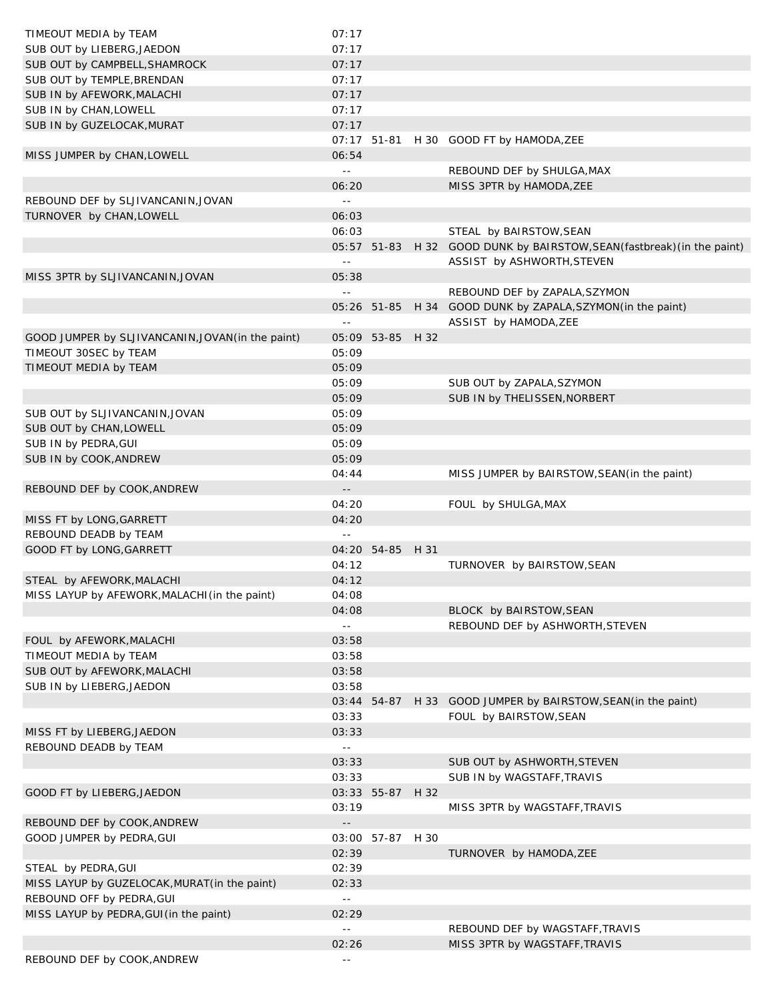| TIMEOUT MEDIA by TEAM                             | 07:17                      |                  |      |                                                             |
|---------------------------------------------------|----------------------------|------------------|------|-------------------------------------------------------------|
| SUB OUT by LIEBERG, JAEDON                        | 07:17                      |                  |      |                                                             |
| SUB OUT by CAMPBELL, SHAMROCK                     | 07:17                      |                  |      |                                                             |
| SUB OUT by TEMPLE, BRENDAN                        | 07:17                      |                  |      |                                                             |
| SUB IN by AFEWORK, MALACHI                        | 07:17                      |                  |      |                                                             |
| SUB IN by CHAN, LOWELL                            | 07:17                      |                  |      |                                                             |
| SUB IN by GUZELOCAK, MURAT                        | 07:17                      |                  |      |                                                             |
|                                                   | 07:17                      | 51-81            |      | H 30 GOOD FT by HAMODA, ZEE                                 |
| MISS JUMPER by CHAN, LOWELL                       | 06:54                      |                  |      |                                                             |
|                                                   | $\sim$ $\sim$              |                  |      | REBOUND DEF by SHULGA, MAX                                  |
|                                                   | 06:20                      |                  |      | MISS 3PTR by HAMODA, ZEE                                    |
| REBOUND DEF by SLJIVANCANIN, JOVAN                | $\sim$ $\sim$              |                  |      |                                                             |
| TURNOVER by CHAN, LOWELL                          | 06:03                      |                  |      |                                                             |
|                                                   | 06:03                      |                  |      | STEAL by BAIRSTOW, SEAN                                     |
|                                                   |                            | 05:57 51-83      |      | H 32 GOOD DUNK by BAIRSTOW, SEAN (fastbreak) (in the paint) |
|                                                   | $\sim$ $\sim$              |                  |      | ASSIST by ASHWORTH, STEVEN                                  |
| MISS 3PTR by SLJIVANCANIN, JOVAN                  | 05:38                      |                  |      |                                                             |
|                                                   | $\sim$ $\sim$              |                  |      | REBOUND DEF by ZAPALA, SZYMON                               |
|                                                   |                            | 05:26 51-85      |      | H 34 GOOD DUNK by ZAPALA, SZYMON(in the paint)              |
|                                                   | $\sim$ $\sim$              |                  |      | ASSIST by HAMODA, ZEE                                       |
|                                                   |                            |                  |      |                                                             |
| GOOD JUMPER by SLJIVANCANIN, JOVAN (in the paint) |                            | 05:09 53-85 H 32 |      |                                                             |
| TIMEOUT 30SEC by TEAM                             | 05:09                      |                  |      |                                                             |
| TIMEOUT MEDIA by TEAM                             | 05:09                      |                  |      |                                                             |
|                                                   | 05:09                      |                  |      | SUB OUT by ZAPALA, SZYMON                                   |
|                                                   | 05:09                      |                  |      | SUB IN by THELISSEN, NORBERT                                |
| SUB OUT by SLJIVANCANIN, JOVAN                    | 05:09                      |                  |      |                                                             |
| SUB OUT by CHAN, LOWELL                           | 05:09                      |                  |      |                                                             |
| SUB IN by PEDRA, GUI                              | 05:09                      |                  |      |                                                             |
| SUB IN by COOK, ANDREW                            | 05:09                      |                  |      |                                                             |
|                                                   | 04:44                      |                  |      | MISS JUMPER by BAIRSTOW, SEAN(in the paint)                 |
| REBOUND DEF by COOK, ANDREW                       | $\overline{\phantom{a}}$ . |                  |      |                                                             |
|                                                   | 04:20                      |                  |      | FOUL by SHULGA, MAX                                         |
| MISS FT by LONG, GARRETT                          | 04:20                      |                  |      |                                                             |
| REBOUND DEADB by TEAM                             | $\sim$ $\sim$              |                  |      |                                                             |
| GOOD FT by LONG, GARRETT                          |                            | 04:20 54-85 H 31 |      |                                                             |
|                                                   | 04:12                      |                  |      | TURNOVER by BAIRSTOW, SEAN                                  |
| STEAL by AFEWORK, MALACHI                         | 04:12                      |                  |      |                                                             |
| MISS LAYUP by AFEWORK, MALACHI (in the paint)     | 04:08                      |                  |      |                                                             |
|                                                   | 04:08                      |                  |      | BLOCK by BAIRSTOW, SEAN                                     |
|                                                   | $\mathbb{L}$ .             |                  |      | REBOUND DEF by ASHWORTH, STEVEN                             |
| FOUL by AFEWORK, MALACHI                          | 03:58                      |                  |      |                                                             |
| TIMEOUT MEDIA by TEAM                             | 03:58                      |                  |      |                                                             |
| SUB OUT by AFEWORK, MALACHI                       | 03:58                      |                  |      |                                                             |
| SUB IN by LIEBERG, JAEDON                         | 03:58                      |                  |      |                                                             |
|                                                   |                            | 03:44 54-87      |      | H 33 GOOD JUMPER by BAIRSTOW, SEAN (in the paint)           |
|                                                   | 03:33                      |                  |      | FOUL by BAIRSTOW, SEAN                                      |
| MISS FT by LIEBERG, JAEDON                        | 03:33                      |                  |      |                                                             |
| REBOUND DEADB by TEAM                             | $\sim$ $\sim$              |                  |      |                                                             |
|                                                   | 03:33                      |                  |      | SUB OUT by ASHWORTH, STEVEN                                 |
|                                                   | 03:33                      |                  |      |                                                             |
|                                                   |                            |                  |      | SUB IN by WAGSTAFF, TRAVIS                                  |
| GOOD FT by LIEBERG, JAEDON                        |                            | 03:33 55-87      | H 32 |                                                             |
|                                                   | 03:19                      |                  |      | MISS 3PTR by WAGSTAFF, TRAVIS                               |
| REBOUND DEF by COOK, ANDREW                       | $\overline{a}$             |                  |      |                                                             |
| GOOD JUMPER by PEDRA, GUI                         |                            | 03:00 57-87 H 30 |      |                                                             |
|                                                   | 02:39                      |                  |      | TURNOVER by HAMODA, ZEE                                     |
| STEAL by PEDRA, GUI                               | 02:39                      |                  |      |                                                             |
| MISS LAYUP by GUZELOCAK, MURAT (in the paint)     | 02:33                      |                  |      |                                                             |
| REBOUND OFF by PEDRA, GUI                         | $\sim$ $-$                 |                  |      |                                                             |
| MISS LAYUP by PEDRA, GUI (in the paint)           | 02:29                      |                  |      |                                                             |
|                                                   | $\sim$ $\sim$              |                  |      | REBOUND DEF by WAGSTAFF, TRAVIS                             |
|                                                   | 02:26                      |                  |      | MISS 3PTR by WAGSTAFF, TRAVIS                               |
| REBOUND DEF by COOK, ANDREW                       | $ -$                       |                  |      |                                                             |